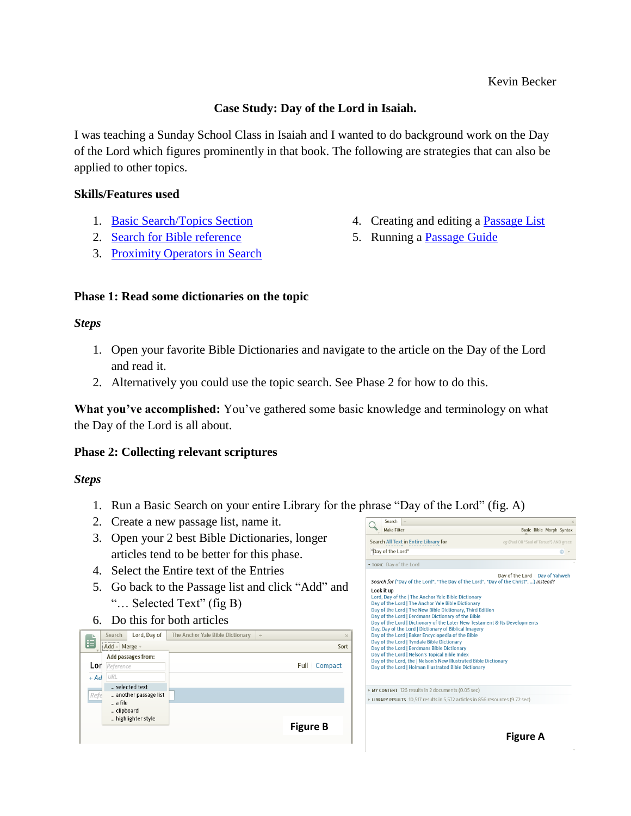## **Case Study: Day of the Lord in Isaiah.**

I was teaching a Sunday School Class in Isaiah and I wanted to do background work on the Day of the Lord which figures prominently in that book. The following are strategies that can also be applied to other topics.

#### **Skills/Features used**

- 1. [Basic Search/Topics Section](http://wiki.logos.com/Basic_Search)
- 2. [Search for Bible reference](http://wiki.logos.com/Detailed_Search_Help#Searching_for_Bible_Verses_and_other_References)
- 3. [Proximity Operators in Search](http://wiki.logos.com/Detailed_Search_Help#Proximity_Operators)

## **Phase 1: Read some dictionaries on the topic**

#### *Steps*

- 1. Open your favorite Bible Dictionaries and navigate to the article on the Day of the Lord and read it.
- 2. Alternatively you could use the topic search. See Phase 2 for how to do this.

**What you've accomplished:** You've gathered some basic knowledge and terminology on what the Day of the Lord is all about.

## **Phase 2: Collecting relevant scriptures**

## *Steps*

- 1. Run a Basic Search on your entire Library for the phrase "Day of the Lord" (fig. A)
- 2. Create a new passage list, name it.
- 3. Open your 2 best Bible Dictionaries, longer articles tend to be better for this phase.
- 4. Select the Entire text of the Entries
- 5. Go back to the Passage list and click "Add" and "… Selected Text" (fig B)
- 6. Do this for both articles

| Search                            | Lord, Day of                          | The Anchor Yale Bible Dictionary | $+$ | $\times$        |
|-----------------------------------|---------------------------------------|----------------------------------|-----|-----------------|
| Ë<br>Add - Merge -                |                                       |                                  |     | Sort            |
| Lor<br>Reference<br>URL<br>$+ Ad$ | Add passages from:                    |                                  |     | Compact<br>Full |
| Refe<br>a file<br>clipboard       | selected text<br>another passage list |                                  |     |                 |
|                                   | highlighter style                     |                                  |     | <b>Figure B</b> |

|                   | Search                  | $+$                                                                                                                                                                                                                                                                                                                                                                                                                                                                                                                                                                                                                                                                                                                                                                                           |                                         |  |  |
|-------------------|-------------------------|-----------------------------------------------------------------------------------------------------------------------------------------------------------------------------------------------------------------------------------------------------------------------------------------------------------------------------------------------------------------------------------------------------------------------------------------------------------------------------------------------------------------------------------------------------------------------------------------------------------------------------------------------------------------------------------------------------------------------------------------------------------------------------------------------|-----------------------------------------|--|--|
|                   | <b>Make Filter</b>      |                                                                                                                                                                                                                                                                                                                                                                                                                                                                                                                                                                                                                                                                                                                                                                                               | Basic Bible Morph Syntax                |  |  |
|                   |                         | Search All Text in Entire Library for                                                                                                                                                                                                                                                                                                                                                                                                                                                                                                                                                                                                                                                                                                                                                         | eq (Paul OR "Saul of Tarsus") AND grace |  |  |
| "Day of the Lord" |                         |                                                                                                                                                                                                                                                                                                                                                                                                                                                                                                                                                                                                                                                                                                                                                                                               |                                         |  |  |
|                   | • TOPIC Day of the Lord |                                                                                                                                                                                                                                                                                                                                                                                                                                                                                                                                                                                                                                                                                                                                                                                               |                                         |  |  |
|                   | Look it up              | Search for ("Day of the Lord", "The Day of the Lord", "Day of the Christ", ) instead?<br>Lord, Day of the   The Anchor Yale Bible Dictionary<br>Day of the Lord   The Anchor Yale Bible Dictionary<br>Day of the Lord   The New Bible Dictionary, Third Edition<br>Day of the Lord   Eerdmans Dictionary of the Bible<br>Day of the Lord   Dictionary of the Later New Testament & Its Developments<br>Day, Day of the Lord   Dictionary of Biblical Imagery<br>Day of the Lord   Baker Encyclopedia of the Bible<br>Day of the Lord   Tyndale Bible Dictionary<br>Day of the Lord   Eerdmans Bible Dictionary<br>Day of the Lord   Nelson's Topical Bible Index<br>Day of the Lord, the   Nelson's New Illustrated Bible Dictionary<br>Day of the Lord   Holman Illustrated Bible Dictionary | Day of the Lord   Day of Yahweh         |  |  |
|                   |                         | • MY CONTENT 126 results in 2 documents (0.05 sec)                                                                                                                                                                                                                                                                                                                                                                                                                                                                                                                                                                                                                                                                                                                                            |                                         |  |  |
|                   |                         | LIBRARY RESULTS 10,517 results in 5,572 articles in 856 resources (9.72 sec)                                                                                                                                                                                                                                                                                                                                                                                                                                                                                                                                                                                                                                                                                                                  |                                         |  |  |
|                   |                         |                                                                                                                                                                                                                                                                                                                                                                                                                                                                                                                                                                                                                                                                                                                                                                                               | Figure A                                |  |  |

- 4. Creating and editing a [Passage List](http://wiki.logos.com/Passage_List)
- 5. Running a [Passage Guide](http://wiki.logos.com/Passage_Guide)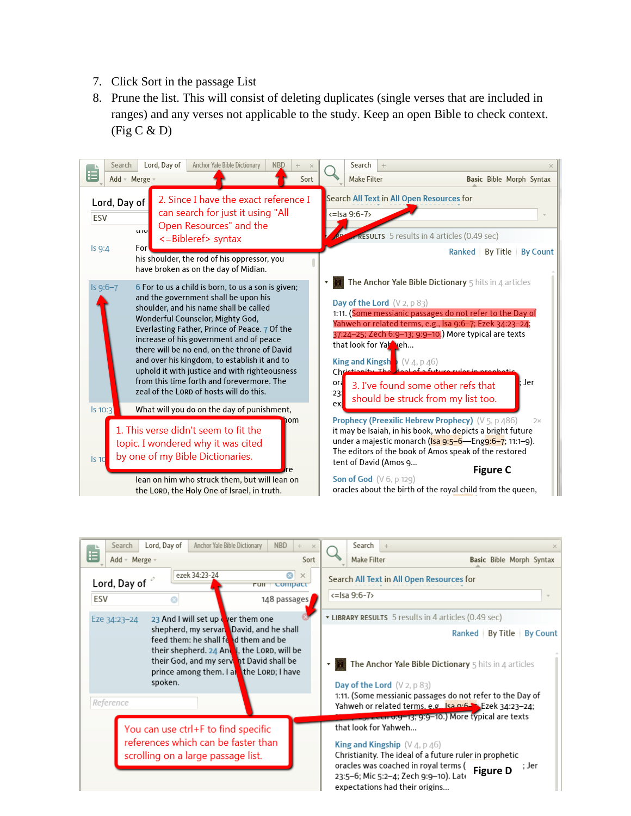- 7. Click Sort in the passage List
- 8. Prune the list. This will consist of deleting duplicates (single verses that are included in ranges) and any verses not applicable to the study. Keep an open Bible to check context.  $(Fig C & D)$



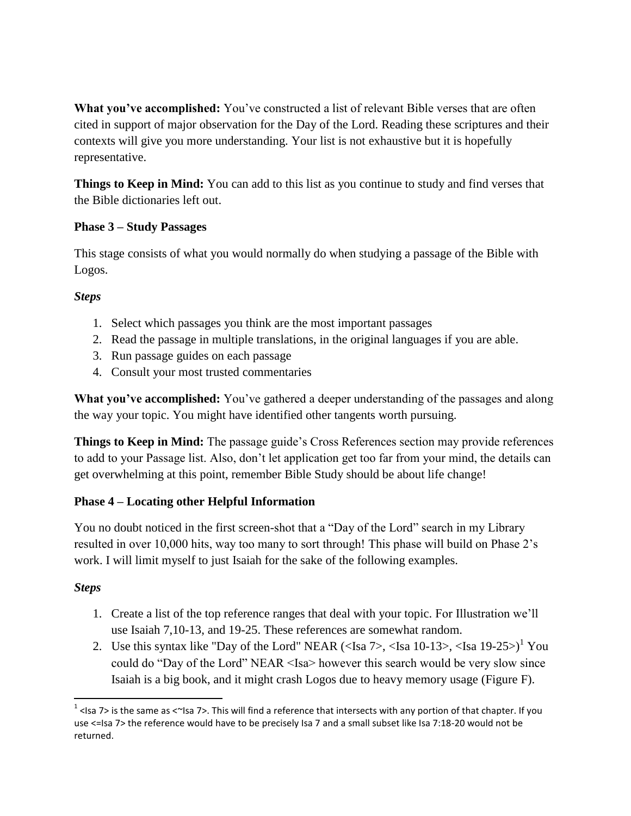**What you've accomplished:** You've constructed a list of relevant Bible verses that are often cited in support of major observation for the Day of the Lord. Reading these scriptures and their contexts will give you more understanding. Your list is not exhaustive but it is hopefully representative.

**Things to Keep in Mind:** You can add to this list as you continue to study and find verses that the Bible dictionaries left out.

# **Phase 3 – Study Passages**

This stage consists of what you would normally do when studying a passage of the Bible with Logos.

# *Steps*

- 1. Select which passages you think are the most important passages
- 2. Read the passage in multiple translations, in the original languages if you are able.
- 3. Run passage guides on each passage
- 4. Consult your most trusted commentaries

**What you've accomplished:** You've gathered a deeper understanding of the passages and along the way your topic. You might have identified other tangents worth pursuing.

**Things to Keep in Mind:** The passage guide's Cross References section may provide references to add to your Passage list. Also, don't let application get too far from your mind, the details can get overwhelming at this point, remember Bible Study should be about life change!

# **Phase 4 – Locating other Helpful Information**

You no doubt noticed in the first screen-shot that a "Day of the Lord" search in my Library resulted in over 10,000 hits, way too many to sort through! This phase will build on Phase 2's work. I will limit myself to just Isaiah for the sake of the following examples.

## *Steps*

 $\overline{\phantom{a}}$ 

- 1. Create a list of the top reference ranges that deal with your topic. For Illustration we'll use Isaiah 7,10-13, and 19-25. These references are somewhat random.
- 2. Use this syntax like "Day of the Lord" NEAR (<Isa  $7$ >, <Isa 10-13>, <Isa 19-25>)<sup>1</sup> You could do "Day of the Lord" NEAR <Isa> however this search would be very slow since Isaiah is a big book, and it might crash Logos due to heavy memory usage (Figure F).

<sup>&</sup>lt;sup>1</sup> <Isa 7> is the same as <~Isa 7>. This will find a reference that intersects with any portion of that chapter. If you use <=Isa 7> the reference would have to be precisely Isa 7 and a small subset like Isa 7:18-20 would not be returned.